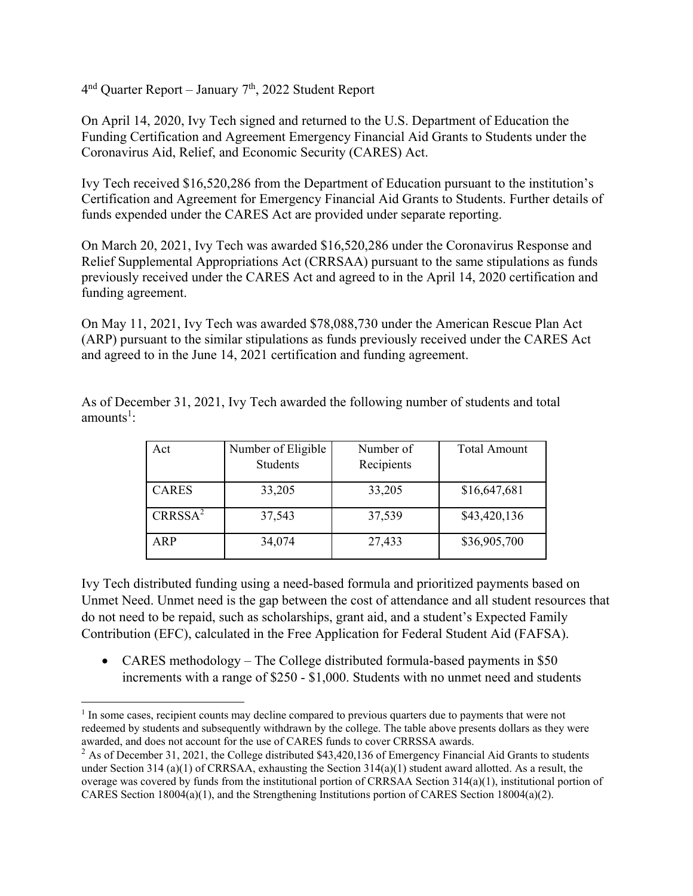$4<sup>nd</sup>$  Quarter Report – January  $7<sup>th</sup>$ , 2022 Student Report

On April 14, 2020, Ivy Tech signed and returned to the U.S. Department of Education the Funding Certification and Agreement Emergency Financial Aid Grants to Students under the Coronavirus Aid, Relief, and Economic Security (CARES) Act.

Ivy Tech received \$16,520,286 from the Department of Education pursuant to the institution's Certification and Agreement for Emergency Financial Aid Grants to Students. Further details of funds expended under the CARES Act are provided under separate reporting.

On March 20, 2021, Ivy Tech was awarded \$16,520,286 under the Coronavirus Response and Relief Supplemental Appropriations Act (CRRSAA) pursuant to the same stipulations as funds previously received under the CARES Act and agreed to in the April 14, 2020 certification and funding agreement.

On May 11, 2021, Ivy Tech was awarded \$78,088,730 under the American Rescue Plan Act (ARP) pursuant to the similar stipulations as funds previously received under the CARES Act and agreed to in the June 14, 2021 certification and funding agreement.

| Act                 | Number of Eligible<br><b>Students</b> | Number of<br>Recipients | Total Amount |
|---------------------|---------------------------------------|-------------------------|--------------|
| <b>CARES</b>        | 33,205                                | 33,205                  | \$16,647,681 |
| CRRSSA <sup>2</sup> | 37,543                                | 37,539                  | \$43,420,136 |
| AP                  | 34,074                                | 27,433                  | \$36,905,700 |

As of December 31, 2021, Ivy Tech awarded the following number of students and total amounts $^1$ :

Ivy Tech distributed funding using a need-based formula and prioritized payments based on Unmet Need. Unmet need is the gap between the cost of attendance and all student resources that do not need to be repaid, such as scholarships, grant aid, and a student's Expected Family Contribution (EFC), calculated in the Free Application for Federal Student Aid (FAFSA).

• CARES methodology – The College distributed formula-based payments in \$50 increments with a range of \$250 - \$1,000. Students with no unmet need and students

<sup>&</sup>lt;sup>1</sup> In some cases, recipient counts may decline compared to previous quarters due to payments that were not redeemed by students and subsequently withdrawn by the college. The table above presents dollars as they were awarded, and does not account for the use of CARES funds to cover CRRSSA awards.

 $2$  As of December 31, 2021, the College distributed \$43,420,136 of Emergency Financial Aid Grants to students under Section 314 (a)(1) of CRRSAA, exhausting the Section 314(a)(1) student award allotted. As a result, the overage was covered by funds from the institutional portion of CRRSAA Section  $314(a)(1)$ , institutional portion of CARES Section  $18004(a)(1)$ , and the Strengthening Institutions portion of CARES Section  $18004(a)(2)$ .